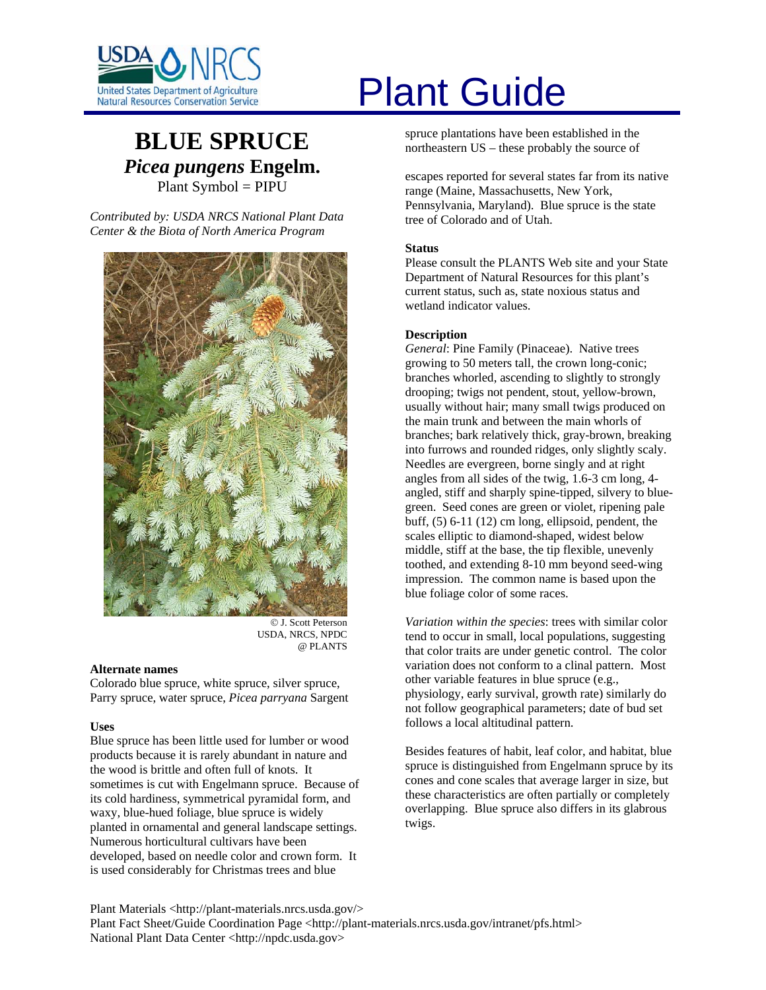

# **BLUE SPRUCE** *Picea pungens* **Engelm.**  Plant Symbol = PIPU

*Contributed by: USDA NRCS National Plant Data Center & the Biota of North America Program* 



© J. Scott Peterson USDA, NRCS, NPDC @ PLANTS

#### **Alternate names**

Colorado blue spruce, white spruce, silver spruce, Parry spruce, water spruce, *Picea parryana* Sargent

#### **Uses**

Blue spruce has been little used for lumber or wood products because it is rarely abundant in nature and the wood is brittle and often full of knots. It sometimes is cut with Engelmann spruce. Because of its cold hardiness, symmetrical pyramidal form, and waxy, blue-hued foliage, blue spruce is widely planted in ornamental and general landscape settings. Numerous horticultural cultivars have been developed, based on needle color and crown form. It is used considerably for Christmas trees and blue

# United States Department of Agriculture<br>Natural Resources Conservation Service

spruce plantations have been established in the northeastern US – these probably the source of

escapes reported for several states far from its native range (Maine, Massachusetts, New York, Pennsylvania, Maryland). Blue spruce is the state tree of Colorado and of Utah.

#### **Status**

Please consult the PLANTS Web site and your State Department of Natural Resources for this plant's current status, such as, state noxious status and wetland indicator values.

#### **Description**

*General*: Pine Family (Pinaceae). Native trees growing to 50 meters tall, the crown long-conic; branches whorled, ascending to slightly to strongly drooping; twigs not pendent, stout, yellow-brown, usually without hair; many small twigs produced on the main trunk and between the main whorls of branches; bark relatively thick, gray-brown, breaking into furrows and rounded ridges, only slightly scaly. Needles are evergreen, borne singly and at right angles from all sides of the twig, 1.6-3 cm long, 4 angled, stiff and sharply spine-tipped, silvery to bluegreen. Seed cones are green or violet, ripening pale buff, (5) 6-11 (12) cm long, ellipsoid, pendent, the scales elliptic to diamond-shaped, widest below middle, stiff at the base, the tip flexible, unevenly toothed, and extending 8-10 mm beyond seed-wing impression. The common name is based upon the blue foliage color of some races.

*Variation within the species*: trees with similar color tend to occur in small, local populations, suggesting that color traits are under genetic control. The color variation does not conform to a clinal pattern. Most other variable features in blue spruce (e.g., physiology, early survival, growth rate) similarly do not follow geographical parameters; date of bud set follows a local altitudinal pattern.

Besides features of habit, leaf color, and habitat, blue spruce is distinguished from Engelmann spruce by its cones and cone scales that average larger in size, but these characteristics are often partially or completely overlapping. Blue spruce also differs in its glabrous twigs.

Plant Materials <http://plant-materials.nrcs.usda.gov/> Plant Fact Sheet/Guide Coordination Page <http://plant-materials.nrcs.usda.gov/intranet/pfs.html> National Plant Data Center <http://npdc.usda.gov>